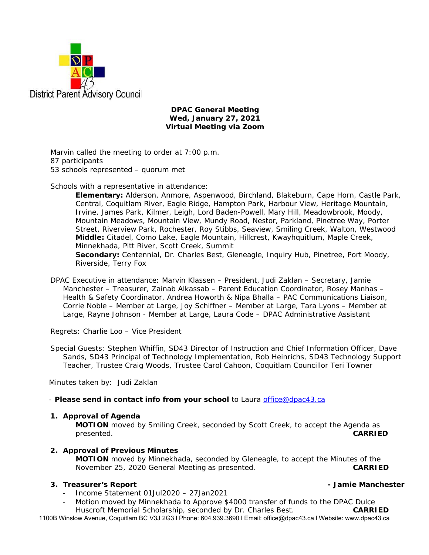

### **DPAC General Meeting Wed, January 27, 2021 Virtual Meeting via Zoom**

Marvin called the meeting to order at 7:00 p.m. 87 participants 53 schools represented – quorum met

Schools with a representative in attendance:

**Elementary:** Alderson, Anmore, Aspenwood, Birchland, Blakeburn, Cape Horn, Castle Park, Central, Coquitlam River, Eagle Ridge, Hampton Park, Harbour View, Heritage Mountain, Irvine, James Park, Kilmer, Leigh, Lord Baden-Powell, Mary Hill, Meadowbrook, Moody, Mountain Meadows, Mountain View, Mundy Road, Nestor, Parkland, Pinetree Way, Porter Street, Riverview Park, Rochester, Roy Stibbs, Seaview, Smiling Creek, Walton, Westwood **Middle:** Citadel, Como Lake, Eagle Mountain, Hillcrest, Kwayhquitlum, Maple Creek, Minnekhada, Pitt River, Scott Creek, Summit Secondary: Centennial, Dr. Charles Best, Gleneagle, Inquiry Hub, Pinetree, Port Moody,

Riverside, Terry Fox

DPAC Executive in attendance: Marvin Klassen – President, Judi Zaklan – Secretary, Jamie Manchester – Treasurer, Zainab Alkassab – Parent Education Coordinator, Rosey Manhas – Health & Safety Coordinator, Andrea Howorth & Nipa Bhalla – PAC Communications Liaison, Corrie Noble – Member at Large, Joy Schiffner – Member at Large, Tara Lyons – Member at Large, Rayne Johnson - Member at Large, Laura Code – DPAC Administrative Assistant

Regrets: Charlie Loo – Vice President

Special Guests: Stephen Whiffin, SD43 Director of Instruction and Chief Information Officer, Dave Sands, SD43 Principal of Technology Implementation, Rob Heinrichs, SD43 Technology Support Teacher, Trustee Craig Woods, Trustee Carol Cahoon, Coquitlam Councillor Teri Towner

Minutes taken by: Judi Zaklan

- *Please send in contact info from your school* to Laura office@dpac43.ca

### **1. Approval of Agenda**

**MOTION** moved by *Smiling Creek*, seconded by *Scott Creek*, to accept the Agenda as presented. **CARRIED** 

### **2. Approval of Previous Minutes**

**MOTION** moved by *Minnekhada*, seconded by *Gleneagle*, to accept the Minutes of the November 25, 2020 General Meeting as presented. **CARRIED** 

### **3. Treasurer's Report - Jamie Manchester**

- <sup>−</sup> Income Statement 01Jul2020 27Jan2021
- <sup>−</sup> Motion moved by *Minnekhada* to Approve \$4000 transfer of funds to the DPAC Dulce

1100B Winslow Avenue, Coquitlam BC V3J 2G3 l Phone: 604.939.3690 l Email: office@dpac43.ca l Website: www.dpac43.ca Huscroft Memorial Scholarship, seconded by *Dr. Charles Best*. **CARRIED**